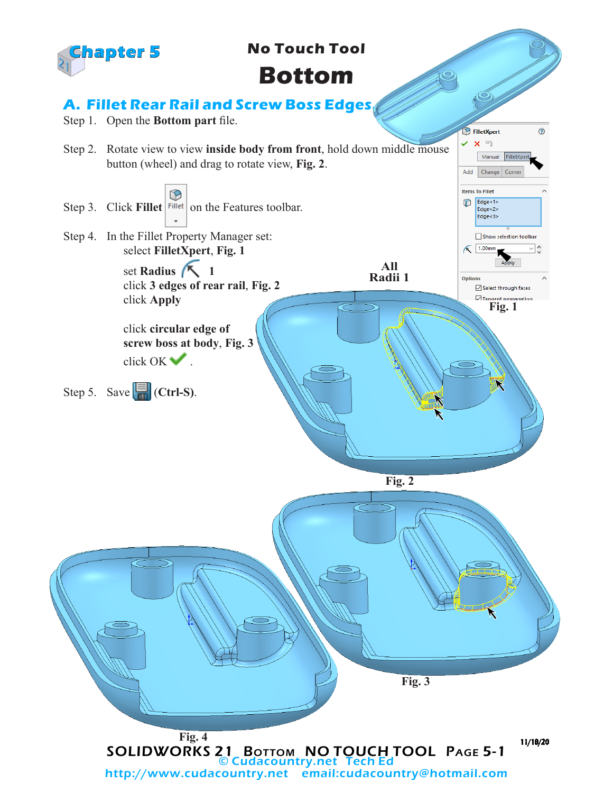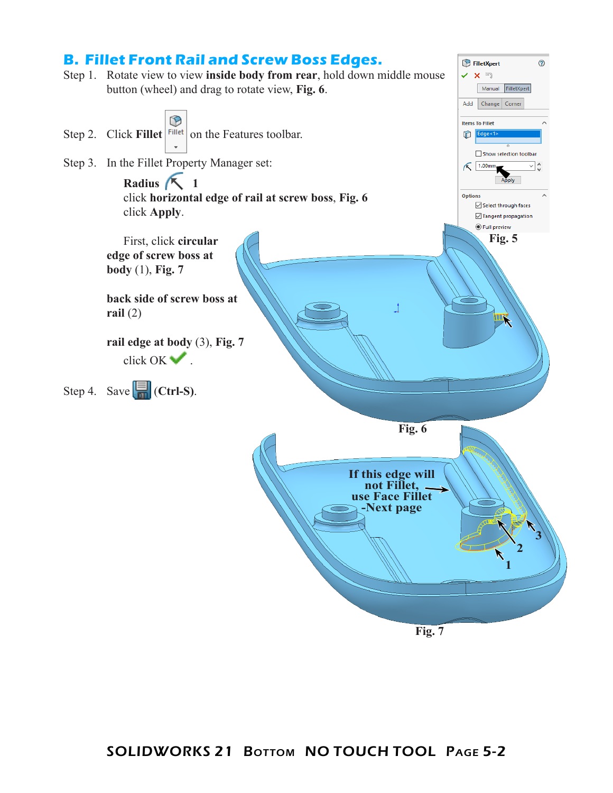

## **Fig. 7**